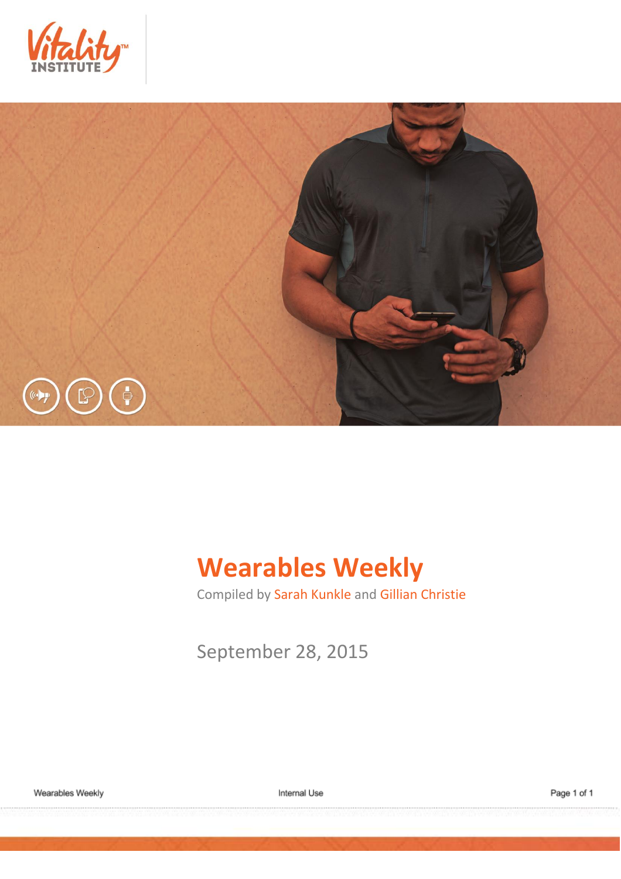



# **Wearables Weekly**

Compiled by Sarah Kunkle and Gillian Christie

September 28, 2015

Wearables Weekly

Internal Use

Page 1 of 1